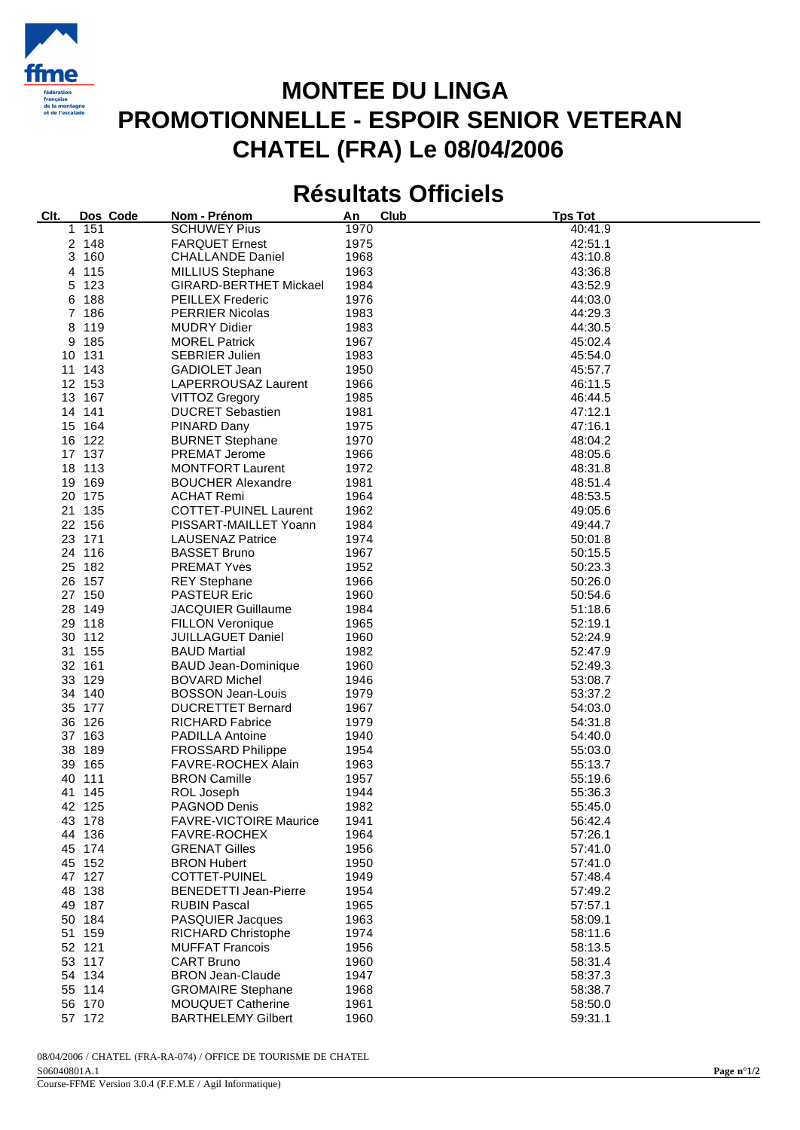

## **MONTEE DU LINGA PROMOTIONNELLE - ESPOIR SENIOR VETERAN CHATEL (FRA) Le 08/04/2006**

## **Résultats Officiels**

| Clt. | Dos Code | Nom - Prénom                  | Club<br>An | <b>Tps Tot</b> |
|------|----------|-------------------------------|------------|----------------|
| 1.   | 151      | <b>SCHUWEY Pius</b>           | 1970       | 40:41.9        |
|      | 2 148    | <b>FARQUET Ernest</b>         | 1975       | 42:51.1        |
|      | 3 160    | <b>CHALLANDE Daniel</b>       | 1968       | 43:10.8        |
|      | 4 115    | <b>MILLIUS Stephane</b>       | 1963       | 43:36.8        |
| 5    | 123      | <b>GIRARD-BERTHET Mickael</b> | 1984       | 43:52.9        |
| 6    | 188      | <b>PEILLEX Frederic</b>       | 1976       | 44:03.0        |
|      | 7 186    |                               |            |                |
|      |          | <b>PERRIER Nicolas</b>        | 1983       | 44:29.3        |
| 8    | 119      | <b>MUDRY Didier</b>           | 1983       | 44:30.5        |
| 9    | 185      | <b>MOREL Patrick</b>          | 1967       | 45:02.4        |
|      | 10 131   | <b>SEBRIER Julien</b>         | 1983       | 45:54.0        |
|      | 11 143   | <b>GADIOLET Jean</b>          | 1950       | 45:57.7        |
|      | 12 153   | LAPERROUSAZ Laurent           | 1966       | 46:11.5        |
|      | 13 167   | <b>VITTOZ Gregory</b>         | 1985       | 46:44.5        |
|      | 14 141   | <b>DUCRET Sebastien</b>       | 1981       | 47:12.1        |
|      | 15 164   | PINARD Dany                   | 1975       | 47:16.1        |
|      | 16 122   | <b>BURNET Stephane</b>        | 1970       | 48:04.2        |
|      | 17 137   | <b>PREMAT Jerome</b>          | 1966       | 48:05.6        |
|      | 18 113   | <b>MONTFORT Laurent</b>       | 1972       | 48:31.8        |
|      | 19 169   | <b>BOUCHER Alexandre</b>      | 1981       | 48:51.4        |
|      | 20 175   | <b>ACHAT Remi</b>             | 1964       | 48:53.5        |
|      | 21 135   | <b>COTTET-PUINEL Laurent</b>  | 1962       | 49:05.6        |
|      | 22 156   | PISSART-MAILLET Yoann         | 1984       | 49:44.7        |
|      | 23 171   | <b>LAUSENAZ Patrice</b>       | 1974       | 50:01.8        |
|      |          |                               |            |                |
|      | 24 116   | <b>BASSET Bruno</b>           | 1967       | 50:15.5        |
|      | 25 182   | <b>PREMAT Yves</b>            | 1952       | 50:23.3        |
|      | 26 157   | <b>REY Stephane</b>           | 1966       | 50:26.0        |
|      | 27 150   | <b>PASTEUR Eric</b>           | 1960       | 50:54.6        |
|      | 28 149   | <b>JACQUIER Guillaume</b>     | 1984       | 51:18.6        |
|      | 29 118   | <b>FILLON Veronique</b>       | 1965       | 52:19.1        |
|      | 30 112   | <b>JUILLAGUET Daniel</b>      | 1960       | 52:24.9        |
|      | 31 155   | <b>BAUD Martial</b>           | 1982       | 52:47.9        |
|      | 32 161   | <b>BAUD Jean-Dominique</b>    | 1960       | 52:49.3        |
|      | 33 129   | <b>BOVARD Michel</b>          | 1946       | 53:08.7        |
|      | 34 140   | <b>BOSSON Jean-Louis</b>      | 1979       | 53:37.2        |
|      | 35 177   | <b>DUCRETTET Bernard</b>      | 1967       | 54:03.0        |
|      | 36 126   | <b>RICHARD Fabrice</b>        | 1979       | 54:31.8        |
|      | 37 163   | PADILLA Antoine               | 1940       | 54:40.0        |
|      | 38 189   | <b>FROSSARD Philippe</b>      | 1954       | 55:03.0        |
|      | 39 165   | FAVRE-ROCHEX Alain            | 1963       | 55:13.7        |
|      | 40 111   | <b>BRON Camille</b>           | 1957       | 55:19.6        |
|      | 41 145   | ROL Joseph                    | 1944       | 55:36.3        |
|      | 42 125   | PAGNOD Denis                  | 1982       | 55:45.0        |
|      |          | <b>FAVRE-VICTOIRE Maurice</b> |            |                |
|      | 43 178   |                               | 1941       | 56:42.4        |
|      | 44 136   | FAVRE-ROCHEX                  | 1964       | 57:26.1        |
|      | 45 174   | <b>GRENAT Gilles</b>          | 1956       | 57:41.0        |
|      | 45 152   | <b>BRON Hubert</b>            | 1950       | 57:41.0        |
|      | 47 127   | COTTET-PUINEL                 | 1949       | 57:48.4        |
|      | 48 138   | <b>BENEDETTI Jean-Pierre</b>  | 1954       | 57:49.2        |
|      | 49 187   | <b>RUBIN Pascal</b>           | 1965       | 57:57.1        |
|      | 50 184   | <b>PASQUIER Jacques</b>       | 1963       | 58:09.1        |
|      | 51 159   | <b>RICHARD Christophe</b>     | 1974       | 58:11.6        |
|      | 52 121   | <b>MUFFAT Francois</b>        | 1956       | 58:13.5        |
|      | 53 117   | <b>CART Bruno</b>             | 1960       | 58:31.4        |
|      | 54 134   | <b>BRON Jean-Claude</b>       | 1947       | 58:37.3        |
|      | 55 114   | <b>GROMAIRE Stephane</b>      | 1968       | 58:38.7        |
|      | 56 170   | <b>MOUQUET Catherine</b>      | 1961       | 58:50.0        |
|      | 57 172   | <b>BARTHELEMY Gilbert</b>     | 1960       | 59:31.1        |
|      |          |                               |            |                |

08/04/2006 / CHATEL (FRA-RA-074) / OFFICE DE TOURISME DE CHATEL S06040801A.1